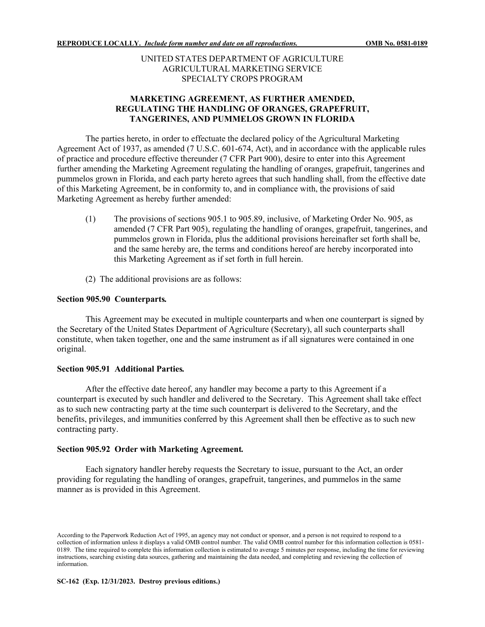## UNITED STATES DEPARTMENT OF AGRICULTURE AGRICULTURAL MARKETING SERVICE SPECIALTY CROPS PROGRAM

# **MARKETING AGREEMENT, AS FURTHER AMENDED, REGULATING THE HANDLING OF ORANGES, GRAPEFRUIT, TANGERINES, AND PUMMELOS GROWN IN FLORIDA**

The parties hereto, in order to effectuate the declared policy of the Agricultural Marketing Agreement Act of 1937, as amended (7 U.S.C. 601-674, Act), and in accordance with the applicable rules of practice and procedure effective thereunder (7 CFR Part 900), desire to enter into this Agreement further amending the Marketing Agreement regulating the handling of oranges, grapefruit, tangerines and pummelos grown in Florida, and each party hereto agrees that such handling shall, from the effective date of this Marketing Agreement, be in conformity to, and in compliance with, the provisions of said Marketing Agreement as hereby further amended:

- (1) The provisions of sections 905.1 to 905.89, inclusive, of Marketing Order No. 905, as amended (7 CFR Part 905), regulating the handling of oranges, grapefruit, tangerines, and pummelos grown in Florida, plus the additional provisions hereinafter set forth shall be, and the same hereby are, the terms and conditions hereof are hereby incorporated into this Marketing Agreement as if set forth in full herein.
- (2) The additional provisions are as follows:

## **Section 905.90 Counterparts***.*

This Agreement may be executed in multiple counterparts and when one counterpart is signed by the Secretary of the United States Department of Agriculture (Secretary), all such counterparts shall constitute, when taken together, one and the same instrument as if all signatures were contained in one original.

### **Section 905.91 Additional Parties***.*

After the effective date hereof, any handler may become a party to this Agreement if a counterpart is executed by such handler and delivered to the Secretary. This Agreement shall take effect as to such new contracting party at the time such counterpart is delivered to the Secretary, and the benefits, privileges, and immunities conferred by this Agreement shall then be effective as to such new contracting party.

### **Section 905.92 Order with Marketing Agreement***.*

Each signatory handler hereby requests the Secretary to issue, pursuant to the Act, an order providing for regulating the handling of oranges, grapefruit, tangerines, and pummelos in the same manner as is provided in this Agreement.

According to the Paperwork Reduction Act of 1995, an agency may not conduct or sponsor, and a person is not required to respond to a collection of information unless it displays a valid OMB control number. The valid OMB control number for this information collection is 0581- 0189. The time required to complete this information collection is estimated to average 5 minutes per response, including the time for reviewing instructions, searching existing data sources, gathering and maintaining the data needed, and completing and reviewing the collection of information.